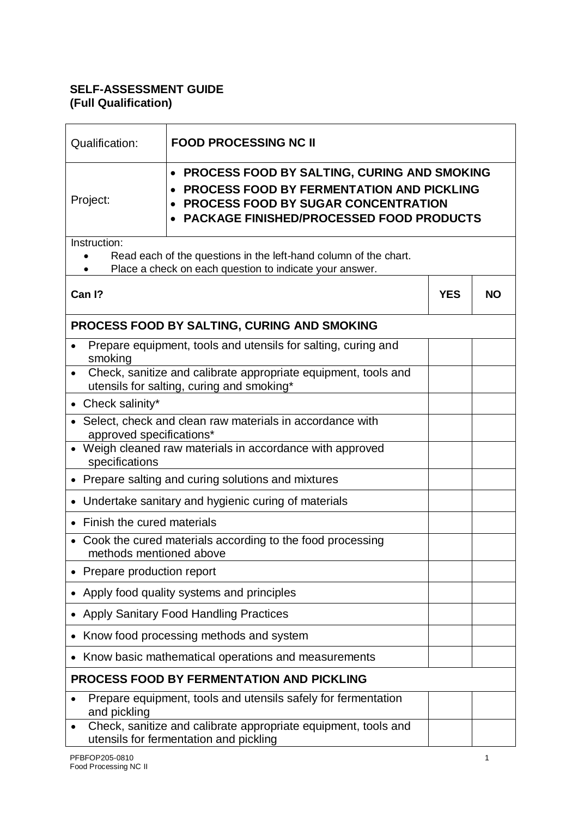## **SELF-ASSESSMENT GUIDE (Full Qualification)**

| Qualification:                                                                                                                                                                                                            | <b>FOOD PROCESSING NC II</b>                                                                             |            |           |  |  |
|---------------------------------------------------------------------------------------------------------------------------------------------------------------------------------------------------------------------------|----------------------------------------------------------------------------------------------------------|------------|-----------|--|--|
| <b>PROCESS FOOD BY SALTING, CURING AND SMOKING</b><br>$\bullet$<br><b>PROCESS FOOD BY FERMENTATION AND PICKLING</b><br>Project:<br><b>PROCESS FOOD BY SUGAR CONCENTRATION</b><br>PACKAGE FINISHED/PROCESSED FOOD PRODUCTS |                                                                                                          |            |           |  |  |
| Instruction:                                                                                                                                                                                                              |                                                                                                          |            |           |  |  |
| Read each of the questions in the left-hand column of the chart.<br>Place a check on each question to indicate your answer.                                                                                               |                                                                                                          |            |           |  |  |
| Can I?                                                                                                                                                                                                                    |                                                                                                          | <b>YES</b> | <b>NO</b> |  |  |
|                                                                                                                                                                                                                           | PROCESS FOOD BY SALTING, CURING AND SMOKING                                                              |            |           |  |  |
| smoking                                                                                                                                                                                                                   | Prepare equipment, tools and utensils for salting, curing and                                            |            |           |  |  |
| Check, sanitize and calibrate appropriate equipment, tools and<br>utensils for salting, curing and smoking*                                                                                                               |                                                                                                          |            |           |  |  |
| • Check salinity*                                                                                                                                                                                                         |                                                                                                          |            |           |  |  |
| Select, check and clean raw materials in accordance with<br>approved specifications*                                                                                                                                      |                                                                                                          |            |           |  |  |
| Weigh cleaned raw materials in accordance with approved<br>specifications                                                                                                                                                 |                                                                                                          |            |           |  |  |
|                                                                                                                                                                                                                           | Prepare salting and curing solutions and mixtures                                                        |            |           |  |  |
| Undertake sanitary and hygienic curing of materials                                                                                                                                                                       |                                                                                                          |            |           |  |  |
| Finish the cured materials                                                                                                                                                                                                |                                                                                                          |            |           |  |  |
| Cook the cured materials according to the food processing<br>methods mentioned above                                                                                                                                      |                                                                                                          |            |           |  |  |
| Prepare production report                                                                                                                                                                                                 |                                                                                                          |            |           |  |  |
| Apply food quality systems and principles                                                                                                                                                                                 |                                                                                                          |            |           |  |  |
| <b>Apply Sanitary Food Handling Practices</b>                                                                                                                                                                             |                                                                                                          |            |           |  |  |
| Know food processing methods and system                                                                                                                                                                                   |                                                                                                          |            |           |  |  |
|                                                                                                                                                                                                                           | Know basic mathematical operations and measurements                                                      |            |           |  |  |
| <b>PROCESS FOOD BY FERMENTATION AND PICKLING</b>                                                                                                                                                                          |                                                                                                          |            |           |  |  |
| and pickling                                                                                                                                                                                                              | Prepare equipment, tools and utensils safely for fermentation                                            |            |           |  |  |
|                                                                                                                                                                                                                           | Check, sanitize and calibrate appropriate equipment, tools and<br>utensils for fermentation and pickling |            |           |  |  |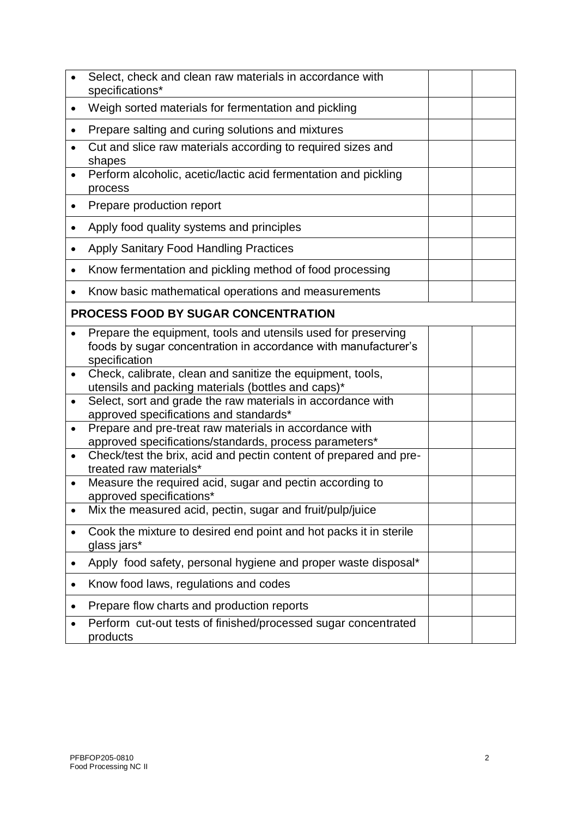|           | Select, check and clean raw materials in accordance with<br>specifications*                                                                      |  |
|-----------|--------------------------------------------------------------------------------------------------------------------------------------------------|--|
| $\bullet$ | Weigh sorted materials for fermentation and pickling                                                                                             |  |
| ٠         | Prepare salting and curing solutions and mixtures                                                                                                |  |
|           | Cut and slice raw materials according to required sizes and<br>shapes                                                                            |  |
|           | Perform alcoholic, acetic/lactic acid fermentation and pickling<br>process                                                                       |  |
| ٠         | Prepare production report                                                                                                                        |  |
| $\bullet$ | Apply food quality systems and principles                                                                                                        |  |
|           | <b>Apply Sanitary Food Handling Practices</b>                                                                                                    |  |
| $\bullet$ | Know fermentation and pickling method of food processing                                                                                         |  |
|           | Know basic mathematical operations and measurements                                                                                              |  |
|           | <b>PROCESS FOOD BY SUGAR CONCENTRATION</b>                                                                                                       |  |
|           | Prepare the equipment, tools and utensils used for preserving<br>foods by sugar concentration in accordance with manufacturer's<br>specification |  |
| $\bullet$ | Check, calibrate, clean and sanitize the equipment, tools,<br>utensils and packing materials (bottles and caps)*                                 |  |
|           | Select, sort and grade the raw materials in accordance with<br>approved specifications and standards*                                            |  |
| $\bullet$ | Prepare and pre-treat raw materials in accordance with<br>approved specifications/standards, process parameters*                                 |  |
| $\bullet$ | Check/test the brix, acid and pectin content of prepared and pre-<br>treated raw materials*                                                      |  |
|           | Measure the required acid, sugar and pectin according to<br>approved specifications*                                                             |  |
|           | Mix the measured acid, pectin, sugar and fruit/pulp/juice                                                                                        |  |
|           | Cook the mixture to desired end point and hot packs it in sterile<br>glass jars*                                                                 |  |
|           | Apply food safety, personal hygiene and proper waste disposal*                                                                                   |  |
|           | Know food laws, regulations and codes                                                                                                            |  |
|           | Prepare flow charts and production reports                                                                                                       |  |
|           | Perform cut-out tests of finished/processed sugar concentrated<br>products                                                                       |  |